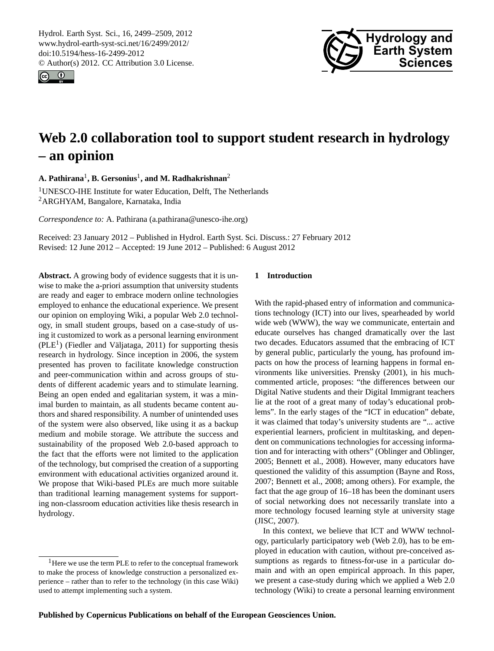<span id="page-0-1"></span>Hydrol. Earth Syst. Sci., 16, 2499–2509, 2012 www.hydrol-earth-syst-sci.net/16/2499/2012/ doi:10.5194/hess-16-2499-2012 © Author(s) 2012. CC Attribution 3.0 License.





# **Web 2.0 collaboration tool to support student research in hydrology – an opinion**

**A. Pathirana**<sup>1</sup> **, B. Gersonius**<sup>1</sup> **, and M. Radhakrishnan**<sup>2</sup>

<sup>1</sup>UNESCO-IHE Institute for water Education, Delft, The Netherlands <sup>2</sup>ARGHYAM, Bangalore, Karnataka, India

*Correspondence to:* A. Pathirana (a.pathirana@unesco-ihe.org)

Received: 23 January 2012 – Published in Hydrol. Earth Syst. Sci. Discuss.: 27 February 2012 Revised: 12 June 2012 – Accepted: 19 June 2012 – Published: 6 August 2012

**Abstract.** A growing body of evidence suggests that it is unwise to make the a-priori assumption that university students are ready and eager to embrace modern online technologies employed to enhance the educational experience. We present our opinion on employing Wiki, a popular Web 2.0 technology, in small student groups, based on a case-study of using it customized to work as a personal learning environment  $(PLE<sup>1</sup>)$  $(PLE<sup>1</sup>)$  $(PLE<sup>1</sup>)$  (Fiedler and Väljataga, 2011) for supporting thesis research in hydrology. Since inception in 2006, the system presented has proven to facilitate knowledge construction and peer-communication within and across groups of students of different academic years and to stimulate learning. Being an open ended and egalitarian system, it was a minimal burden to maintain, as all students became content authors and shared responsibility. A number of unintended uses of the system were also observed, like using it as a backup medium and mobile storage. We attribute the success and sustainability of the proposed Web 2.0-based approach to the fact that the efforts were not limited to the application of the technology, but comprised the creation of a supporting environment with educational activities organized around it. We propose that Wiki-based PLEs are much more suitable than traditional learning management systems for supporting non-classroom education activities like thesis research in hydrology.

# **1 Introduction**

With the rapid-phased entry of information and communications technology (ICT) into our lives, spearheaded by world wide web (WWW), the way we communicate, entertain and educate ourselves has changed dramatically over the last two decades. Educators assumed that the embracing of ICT by general public, particularly the young, has profound impacts on how the process of learning happens in formal environments like universities. Prensky (2001), in his muchcommented article, proposes: "the differences between our Digital Native students and their Digital Immigrant teachers lie at the root of a great many of today's educational problems". In the early stages of the "ICT in education" debate, it was claimed that today's university students are "... active experiential learners, proficient in multitasking, and dependent on communications technologies for accessing information and for interacting with others" (Oblinger and Oblinger, 2005; Bennett et al., 2008). However, many educators have questioned the validity of this assumption (Bayne and Ross, 2007; Bennett et al., 2008; among others). For example, the fact that the age group of 16–18 has been the dominant users of social networking does not necessarily translate into a more technology focused learning style at university stage (JISC, 2007).

In this context, we believe that ICT and WWW technology, particularly participatory web (Web 2.0), has to be employed in education with caution, without pre-conceived assumptions as regards to fitness-for-use in a particular domain and with an open empirical approach. In this paper, we present a case-study during which we applied a Web 2.0 technology (Wiki) to create a personal learning environment

<span id="page-0-0"></span><sup>&</sup>lt;sup>1</sup>Here we use the term PLE to refer to the conceptual framework to make the process of knowledge construction a personalized experience – rather than to refer to the technology (in this case Wiki) used to attempt implementing such a system.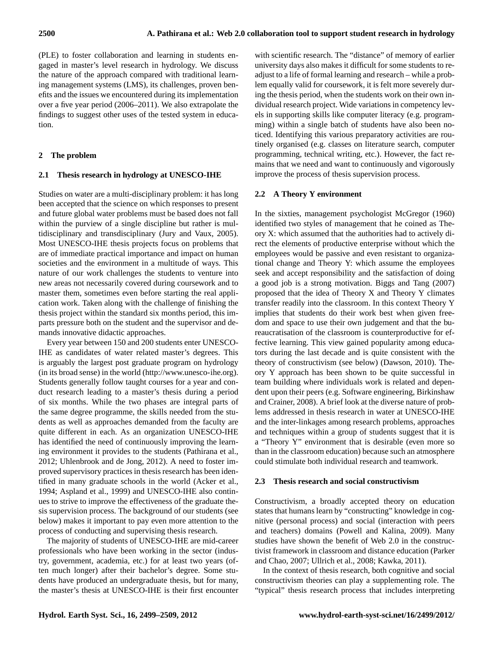(PLE) to foster collaboration and learning in students engaged in master's level research in hydrology. We discuss the nature of the approach compared with traditional learning management systems (LMS), its challenges, proven benefits and the issues we encountered during its implementation over a five year period (2006–2011). We also extrapolate the findings to suggest other uses of the tested system in education.

# **2 The problem**

# **2.1 Thesis research in hydrology at UNESCO-IHE**

Studies on water are a multi-disciplinary problem: it has long been accepted that the science on which responses to present and future global water problems must be based does not fall within the purview of a single discipline but rather is multidisciplinary and transdisciplinary (Jury and Vaux, 2005). Most UNESCO-IHE thesis projects focus on problems that are of immediate practical importance and impact on human societies and the environment in a multitude of ways. This nature of our work challenges the students to venture into new areas not necessarily covered during coursework and to master them, sometimes even before starting the real application work. Taken along with the challenge of finishing the thesis project within the standard six months period, this imparts pressure both on the student and the supervisor and demands innovative didactic approaches.

Every year between 150 and 200 students enter UNESCO-IHE as candidates of water related master's degrees. This is arguably the largest post graduate program on hydrology (in its broad sense) in the world [\(http://www.unesco-ihe.org\)](http://www.unesco-ihe.org). Students generally follow taught courses for a year and conduct research leading to a master's thesis during a period of six months. While the two phases are integral parts of the same degree programme, the skills needed from the students as well as approaches demanded from the faculty are quite different in each. As an organization UNESCO-IHE has identified the need of continuously improving the learning environment it provides to the students (Pathirana et al., 2012; Uhlenbrook and de Jong, 2012). A need to foster improved supervisory practices in thesis research has been identified in many graduate schools in the world (Acker et al., 1994; Aspland et al., 1999) and UNESCO-IHE also continues to strive to improve the effectiveness of the graduate thesis supervision process. The background of our students (see below) makes it important to pay even more attention to the process of conducting and supervising thesis research.

The majority of students of UNESCO-IHE are mid-career professionals who have been working in the sector (industry, government, academia, etc.) for at least two years (often much longer) after their bachelor's degree. Some students have produced an undergraduate thesis, but for many, the master's thesis at UNESCO-IHE is their first encounter with scientific research. The "distance" of memory of earlier university days also makes it difficult for some students to readjust to a life of formal learning and research – while a problem equally valid for coursework, it is felt more severely during the thesis period, when the students work on their own individual research project. Wide variations in competency levels in supporting skills like computer literacy (e.g. programming) within a single batch of students have also been noticed. Identifying this various preparatory activities are routinely organised (e.g. classes on literature search, computer programming, technical writing, etc.). However, the fact remains that we need and want to continuously and vigorously improve the process of thesis supervision process.

# **2.2 A Theory Y environment**

In the sixties, management psychologist McGregor (1960) identified two styles of management that he coined as Theory X: which assumed that the authorities had to actively direct the elements of productive enterprise without which the employees would be passive and even resistant to organizational change and Theory Y: which assume the employees seek and accept responsibility and the satisfaction of doing a good job is a strong motivation. Biggs and Tang (2007) proposed that the idea of Theory X and Theory Y climates transfer readily into the classroom. In this context Theory Y implies that students do their work best when given freedom and space to use their own judgement and that the bureaucratisation of the classroom is counterproductive for effective learning. This view gained popularity among educators during the last decade and is quite consistent with the theory of constructivism (see below) (Dawson, 2010). Theory Y approach has been shown to be quite successful in team building where individuals work is related and dependent upon their peers (e.g. Software engineering, Birkinshaw and Crainer, 2008). A brief look at the diverse nature of problems addressed in thesis research in water at UNESCO-IHE and the inter-linkages among research problems, approaches and techniques within a group of students suggest that it is a "Theory Y" environment that is desirable (even more so than in the classroom education) because such an atmosphere could stimulate both individual research and teamwork.

## **2.3 Thesis research and social constructivism**

Constructivism, a broadly accepted theory on education states that humans learn by "constructing" knowledge in cognitive (personal process) and social (interaction with peers and teachers) domains (Powell and Kalina, 2009). Many studies have shown the benefit of Web 2.0 in the constructivist framework in classroom and distance education (Parker and Chao, 2007; Ullrich et al., 2008; Kawka, 2011).

In the context of thesis research, both cognitive and social constructivism theories can play a supplementing role. The "typical" thesis research process that includes interpreting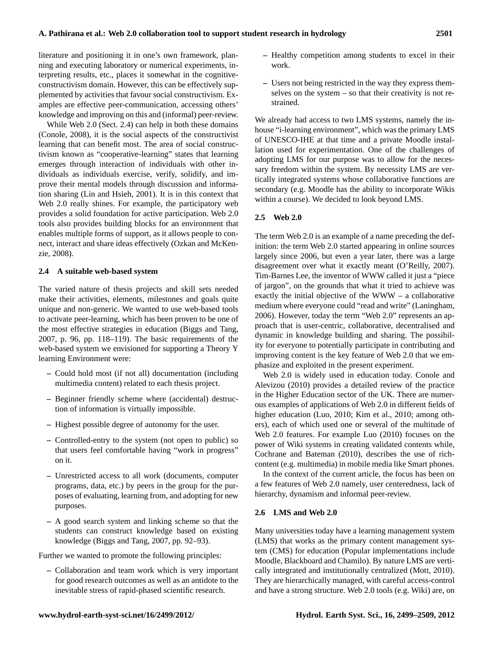literature and positioning it in one's own framework, planning and executing laboratory or numerical experiments, interpreting results, etc., places it somewhat in the cognitiveconstructivism domain. However, this can be effectively supplemented by activities that favour social constructivism. Examples are effective peer-communication, accessing others' knowledge and improving on this and (informal) peer-review.

While Web 2.0 (Sect. 2.4) can help in both these domains (Conole, 2008), it is the social aspects of the constructivist learning that can benefit most. The area of social constructivism known as "cooperative-learning" states that learning emerges through interaction of individuals with other individuals as individuals exercise, verify, solidify, and improve their mental models through discussion and information sharing (Lin and Hsieh, 2001). It is in this context that Web 2.0 really shines. For example, the participatory web provides a solid foundation for active participation. Web 2.0 tools also provides building blocks for an environment that enables multiple forms of support, as it allows people to connect, interact and share ideas effectively (Ozkan and McKenzie, 2008).

#### **2.4 A suitable web-based system**

The varied nature of thesis projects and skill sets needed make their activities, elements, milestones and goals quite unique and non-generic. We wanted to use web-based tools to activate peer-learning, which has been proven to be one of the most effective strategies in education (Biggs and Tang, 2007, p. 96, pp. 118–119). The basic requirements of the web-based system we envisioned for supporting a Theory Y learning Environment were:

- **–** Could hold most (if not all) documentation (including multimedia content) related to each thesis project.
- **–** Beginner friendly scheme where (accidental) destruction of information is virtually impossible.
- **–** Highest possible degree of autonomy for the user.
- **–** Controlled-entry to the system (not open to public) so that users feel comfortable having "work in progress" on it.
- **–** Unrestricted access to all work (documents, computer programs, data, etc.) by peers in the group for the purposes of evaluating, learning from, and adopting for new purposes.
- **–** A good search system and linking scheme so that the students can construct knowledge based on existing knowledge (Biggs and Tang, 2007, pp. 92–93).

Further we wanted to promote the following principles:

**–** Collaboration and team work which is very important for good research outcomes as well as an antidote to the inevitable stress of rapid-phased scientific research.

- **–** Healthy competition among students to excel in their work.
- **–** Users not being restricted in the way they express themselves on the system – so that their creativity is not restrained.

We already had access to two LMS systems, namely the inhouse "i-learning environment", which was the primary LMS of UNESCO-IHE at that time and a private Moodle installation used for experimentation. One of the challenges of adopting LMS for our purpose was to allow for the necessary freedom within the system. By necessity LMS are vertically integrated systems whose collaborative functions are secondary (e.g. Moodle has the ability to incorporate Wikis within a course). We decided to look beyond LMS.

# **2.5 Web 2.0**

The term Web 2.0 is an example of a name preceding the definition: the term Web 2.0 started appearing in online sources largely since 2006, but even a year later, there was a large disagreement over what it exactly meant (O'Reilly, 2007). Tim-Barnes Lee, the inventor of WWW called it just a "piece of jargon", on the grounds that what it tried to achieve was exactly the initial objective of the WWW – a collaborative medium where everyone could "read and write" (Laningham, 2006). However, today the term "Web 2.0" represents an approach that is user-centric, collaborative, decentralised and dynamic in knowledge building and sharing. The possibility for everyone to potentially participate in contributing and improving content is the key feature of Web 2.0 that we emphasize and exploited in the present experiment.

Web 2.0 is widely used in education today. Conole and Alevizou (2010) provides a detailed review of the practice in the Higher Education sector of the UK. There are numerous examples of applications of Web 2.0 in different fields of higher education (Luo, 2010; Kim et al., 2010; among others), each of which used one or several of the multitude of Web 2.0 features. For example Luo (2010) focuses on the power of Wiki systems in creating validated contents while, Cochrane and Bateman (2010), describes the use of richcontent (e.g. multimedia) in mobile media like Smart phones.

In the context of the current article, the focus has been on a few features of Web 2.0 namely, user centeredness, lack of hierarchy, dynamism and informal peer-review.

#### **2.6 LMS and Web 2.0**

Many universities today have a learning management system (LMS) that works as the primary content management system (CMS) for education (Popular implementations include Moodle, Blackboard and Chamilo). By nature LMS are vertically integrated and institutionally centralized (Mott, 2010). They are hierarchically managed, with careful access-control and have a strong structure. Web 2.0 tools (e.g. Wiki) are, on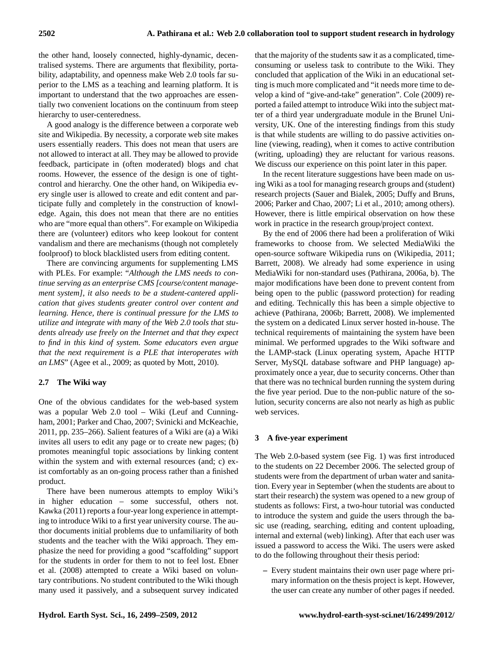the other hand, loosely connected, highly-dynamic, decentralised systems. There are arguments that flexibility, portability, adaptability, and openness make Web 2.0 tools far superior to the LMS as a teaching and learning platform. It is important to understand that the two approaches are essentially two convenient locations on the continuum from steep hierarchy to user-centeredness.

A good analogy is the difference between a corporate web site and Wikipedia. By necessity, a corporate web site makes users essentially readers. This does not mean that users are not allowed to interact at all. They may be allowed to provide feedback, participate in (often moderated) blogs and chat rooms. However, the essence of the design is one of tightcontrol and hierarchy. One the other hand, on Wikipedia every single user is allowed to create and edit content and participate fully and completely in the construction of knowledge. Again, this does not mean that there are no entities who are "more equal than others". For example on Wikipedia there are (volunteer) editors who keep lookout for content vandalism and there are mechanisms (though not completely foolproof) to block blacklisted users from editing content.

There are convincing arguments for supplementing LMS with PLEs. For example: "*Although the LMS needs to continue serving as an enterprise CMS [course/content management system], it also needs to be a student-cantered application that gives students greater control over content and learning. Hence, there is continual pressure for the LMS to utilize and integrate with many of the Web 2.0 tools that students already use freely on the Internet and that they expect to find in this kind of system. Some educators even argue that the next requirement is a PLE that interoperates with an LMS*" (Agee et al., 2009; as quoted by Mott, 2010).

## **2.7 The Wiki way**

One of the obvious candidates for the web-based system was a popular Web 2.0 tool – Wiki (Leuf and Cunningham, 2001; Parker and Chao, 2007; Svinicki and McKeachie, 2011, pp. 235–266). Salient features of a Wiki are (a) a Wiki invites all users to edit any page or to create new pages; (b) promotes meaningful topic associations by linking content within the system and with external resources (and; c) exist comfortably as an on-going process rather than a finished product.

There have been numerous attempts to employ Wiki's in higher education – some successful, others not. Kawka (2011) reports a four-year long experience in attempting to introduce Wiki to a first year university course. The author documents initial problems due to unfamiliarity of both students and the teacher with the Wiki approach. They emphasize the need for providing a good "scaffolding" support for the students in order for them to not to feel lost. Ebner et al. (2008) attempted to create a Wiki based on voluntary contributions. No student contributed to the Wiki though many used it passively, and a subsequent survey indicated that the majority of the students saw it as a complicated, timeconsuming or useless task to contribute to the Wiki. They concluded that application of the Wiki in an educational setting is much more complicated and "it needs more time to develop a kind of "give-and-take" generation". Cole (2009) reported a failed attempt to introduce Wiki into the subject matter of a third year undergraduate module in the Brunel University, UK. One of the interesting findings from this study is that while students are willing to do passive activities online (viewing, reading), when it comes to active contribution (writing, uploading) they are reluctant for various reasons. We discuss our experience on this point later in this paper.

In the recent literature suggestions have been made on using Wiki as a tool for managing research groups and (student) research projects (Sauer and Bialek, 2005; Duffy and Bruns, 2006; Parker and Chao, 2007; Li et al., 2010; among others). However, there is little empirical observation on how these work in practice in the research group/project context.

By the end of 2006 there had been a proliferation of Wiki frameworks to choose from. We selected MediaWiki the open-source software Wikipedia runs on (Wikipedia, 2011; Barrett, 2008). We already had some experience in using MediaWiki for non-standard uses (Pathirana, 2006a, b). The major modifications have been done to prevent content from being open to the public (password protection) for reading and editing. Technically this has been a simple objective to achieve (Pathirana, 2006b; Barrett, 2008). We implemented the system on a dedicated Linux server hosted in-house. The technical requirements of maintaining the system have been minimal. We performed upgrades to the Wiki software and the LAMP-stack (Linux operating system, Apache HTTP Server, MySQL database software and PHP language) approximately once a year, due to security concerns. Other than that there was no technical burden running the system during the five year period. Due to the non-public nature of the solution, security concerns are also not nearly as high as public web services.

## **3 A five-year experiment**

The Web 2.0-based system (see Fig. 1) was first introduced to the students on 22 December 2006. The selected group of students were from the department of urban water and sanitation. Every year in September (when the students are about to start their research) the system was opened to a new group of students as follows: First, a two-hour tutorial was conducted to introduce the system and guide the users through the basic use (reading, searching, editing and content uploading, internal and external (web) linking). After that each user was issued a password to access the Wiki. The users were asked to do the following throughout their thesis period:

**–** Every student maintains their own user page where primary information on the thesis project is kept. However, the user can create any number of other pages if needed.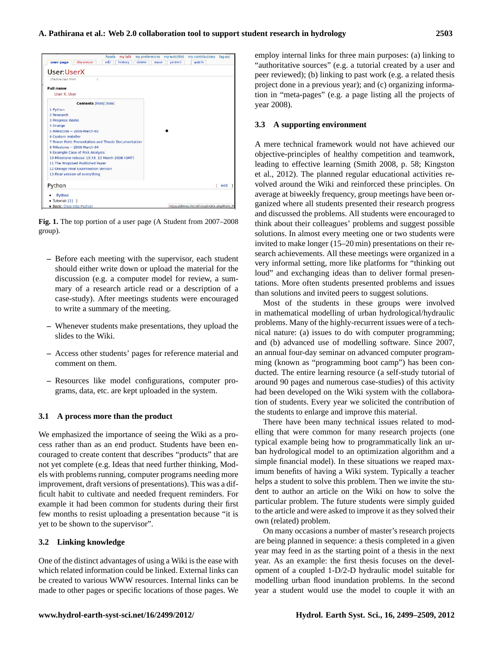

Fig. 1. The top portion of a user page (A Student from 2007–2008  $\mathbf{F} \cdot \mathbf{F} \cdot \mathbf{F}$ group).

- product. Students have been encouraged to create content that describes `products' that are not yet complete (e.g. Ideas that needs further thinking, Models with problems running, **–** Before each meeting with the supervisor, each student should either write down or upload the material for the discussion (e.g. a computer model for review, a summary of a research article read or a description of a case-study). After meetings students were encouraged to write a summary of the meeting.
- 10 **–** Whenever students make presentations, they upload the slides to the Wiki.
- **–** Access other students' pages for reference material and comment on them.
- **–** Resources like model configurations, computer programs, data, etc. are kept uploaded in the system.

## **3.1 A process more than the product**

We emphasized the importance of seeing the Wiki as a process rather than as an end product. Students have been encouraged to create content that describes "products" that are not yet complete (e.g. Ideas that need further thinking, Models with problems running, computer programs needing more improvement, draft versions of presentations). This was a difficult habit to cultivate and needed frequent reminders. For example it had been common for students during their first few months to resist uploading a presentation because "it is yet to be shown to the supervisor".

## **3.2 Linking knowledge**

One of the distinct advantages of using a Wiki is the ease with which related information could be linked. External links can be created to various WWW resources. Internal links can be made to other pages or specific locations of those pages. We employ internal links for three main purposes: (a) linking to "authoritative sources" (e.g. a tutorial created by a user and peer reviewed); (b) linking to past work (e.g. a related thesis project done in a previous year); and (c) organizing information in "meta-pages" (e.g. a page listing all the projects of year 2008).

## **3.3 A supporting environment**

and discussed the problems. All students were encouraged to A mere technical framework would not have achieved our objective-principles of healthy competition and teamwork, leading to effective learning (Smith 2008, p. 58; Kingston et al., 2012). The planned regular educational activities revolved around the Wiki and reinforced these principles. On average at biweekly frequency, group meetings have been organized where all students presented their research progress think about their colleagues' problems and suggest possible solutions. In almost every meeting one or two students were invited to make longer (15–20 min) presentations on their research achievements. All these meetings were organized in a very informal setting, more like platforms for "thinking out loud" and exchanging ideas than to deliver formal presentations. More often students presented problems and issues than solutions and invited peers to suggest solutions.

Most of the students in these groups were involved in mathematical modelling of urban hydrological/hydraulic problems. Many of the highly-recurrent issues were of a technical nature: (a) issues to do with computer programming; and (b) advanced use of modelling software. Since 2007, an annual four-day seminar on advanced computer programming (known as "programming boot camp") has been conducted. The entire learning resource (a self-study tutorial of around 90 pages and numerous case-studies) of this activity had been developed on the Wiki system with the collaboration of students. Every year we solicited the contribution of the students to enlarge and improve this material.

There have been many technical issues related to modelling that were common for many research projects (one typical example being how to programmatically link an urban hydrological model to an optimization algorithm and a simple financial model). In these situations we reaped maximum benefits of having a Wiki system. Typically a teacher helps a student to solve this problem. Then we invite the student to author an article on the Wiki on how to solve the particular problem. The future students were simply guided to the article and were asked to improve it as they solved their own (related) problem.

On many occasions a number of master's research projects are being planned in sequence: a thesis completed in a given year may feed in as the starting point of a thesis in the next year. As an example: the first thesis focuses on the development of a coupled 1-D/2-D hydraulic model suitable for modelling urban flood inundation problems. In the second year a student would use the model to couple it with an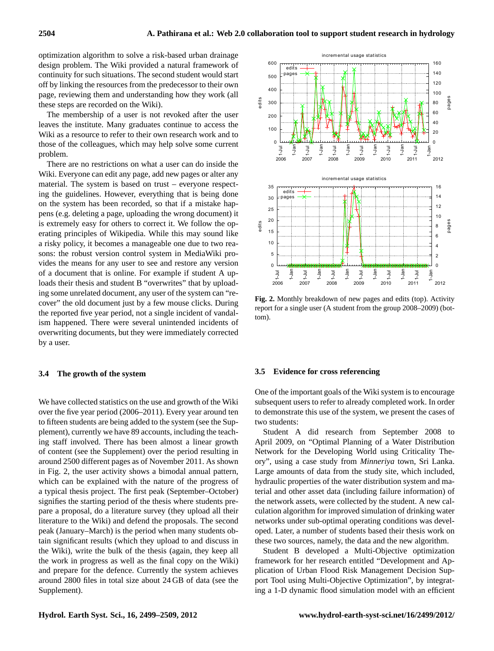optimization algorithm to solve a risk-based urban drainage design problem. The Wiki provided a natural framework of continuity for such situations. The second student would start off by linking the resources from the predecessor to their own page, reviewing them and understanding how they work (all these steps are recorded on the Wiki).

The membership of a user is not revoked after the user leaves the institute. Many graduates continue to access the Wiki as a resource to refer to their own research work and to those of the colleagues, which may help solve some current problem.

There are no restrictions on what a user can do inside the Wiki. Everyone can edit any page, add new pages or alter any material. The system is based on trust – everyone respecting the guidelines. However, everything that is being done on the system has been recorded, so that if a mistake happens (e.g. deleting a page, uploading the wrong document) it is extremely easy for others to correct it. We follow the operating principles of Wikipedia. While this may sound like a risky policy, it becomes a manageable one due to two reasons: the robust version control system in MediaWiki provides the means for any user to see and restore any version of a document that is online. For example if student A uploads their thesis and student B "overwrites" that by uploading some unrelated document, any user of the system can "recover" the old document just by a few mouse clicks. During the reported five year period, not a single incident of vandalism happened. There were several unintended incidents of overwriting documents, but they were immediately corrected by a user.

#### **3.4 The growth of the system**

We have collected statistics on the use and growth of the Wiki over the five year period (2006–2011). Every year around ten to fifteen students are being added to the system (see the Supplement), currently we have 89 accounts, including the teaching staff involved. There has been almost a linear growth of content (see the Supplement) over the period resulting in around 2500 different pages as of November 2011. As shown in Fig. 2, the user activity shows a bimodal annual pattern, which can be explained with the nature of the progress of a typical thesis project. The first peak (September–October) signifies the starting period of the thesis where students prepare a proposal, do a literature survey (they upload all their literature to the Wiki) and defend the proposals. The second peak (January–March) is the period when many students obtain significant results (which they upload to and discuss in the Wiki), write the bulk of the thesis (again, they keep all the work in progress as well as the final copy on the Wiki) and prepare for the defence. Currently the system achieves around 2800 files in total size about 24 GB of data (see the Supplement).





**Fig. 2.** Monthly breakdown of new pages and edits (top). Activity report for a single user (A student from the group 2008–2009) (bottom).

#### **3.5 Evidence for cross referencing**

One of the important goals of the Wiki system is to encourage subsequent users to refer to already completed work. In order to demonstrate this use of the system, we present the cases of two students:

Student A did research from September 2008 to April 2009, on "Optimal Planning of a Water Distribution Network for the Developing World using Criticality Theory", using a case study from *Minneriya* town, Sri Lanka. Large amounts of data from the study site, which included, hydraulic properties of the water distribution system and material and other asset data (including failure information) of the network assets, were collected by the student. A new calculation algorithm for improved simulation of drinking water networks under sub-optimal operating conditions was developed. Later, a number of students based their thesis work on these two sources, namely, the data and the new algorithm.

Student B developed a Multi-Objective optimization framework for her research entitled "Development and Application of Urban Flood Risk Management Decision Support Tool using Multi-Objective Optimization", by integrating a 1-D dynamic flood simulation model with an efficient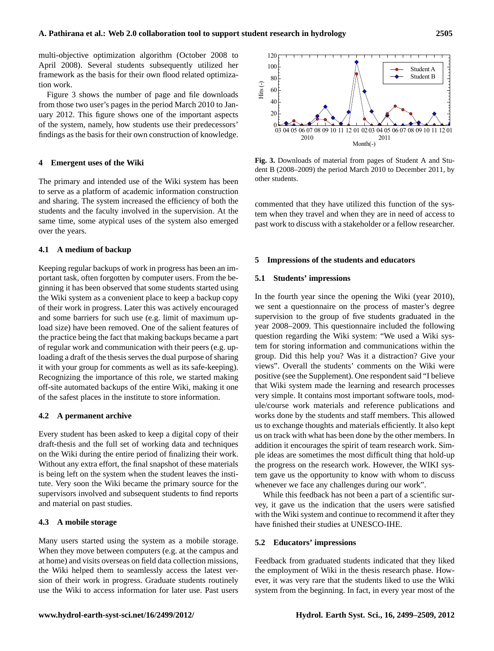multi-objective optimization algorithm (October 2008 to April 2008). Several students subsequently utilized her framework as the basis for their own flood related optimization work.

Figure 3 shows the number of page and file downloads from those two user's pages in the period March 2010 to January 2012. This figure shows one of the important aspects of the system, namely, how students use their predecessors' findings as the basis for their own construction of knowledge.

#### **4 Emergent uses of the Wiki**

The primary and intended use of the Wiki system has been to serve as a platform of academic information construction and sharing. The system increased the efficiency of both the students and the faculty involved in the supervision. At the same time, some atypical uses of the system also emerged over the years.

#### **4.1 A medium of backup**

Keeping regular backups of work in progress has been an important task, often forgotten by computer users. From the beginning it has been observed that some students started using the Wiki system as a convenient place to keep a backup copy of their work in progress. Later this was actively encouraged and some barriers for such use (e.g. limit of maximum upload size) have been removed. One of the salient features of the practice being the fact that making backups became a part of regular work and communication with their peers (e.g. uploading a draft of the thesis serves the dual purpose of sharing it with your group for comments as well as its safe-keeping). Recognizing the importance of this role, we started making off-site automated backups of the entire Wiki, making it one of the safest places in the institute to store information.

#### **4.2 A permanent archive**

Every student has been asked to keep a digital copy of their draft-thesis and the full set of working data and techniques on the Wiki during the entire period of finalizing their work. Without any extra effort, the final snapshot of these materials is being left on the system when the student leaves the institute. Very soon the Wiki became the primary source for the supervisors involved and subsequent students to find reports and material on past studies.

# **4.3 A mobile storage**

Many users started using the system as a mobile storage. When they move between computers (e.g. at the campus and at home) and visits overseas on field data collection missions, the Wiki helped them to seamlessly access the latest version of their work in progress. Graduate students routinely use the Wiki to access information for later use. Past users



**Fig. 3.** Downloads of material from pages of Student A and Student B (2008–2009) the period March 2010 to December 2011, by other students.

commented that they have utilized this function of the system when they travel and when they are in need of access to past work to discuss with a stakeholder or a fellow researcher.

#### **5 Impressions of the students and educators**

#### **5.1 Students' impressions**

In the fourth year since the opening the Wiki (year 2010), we sent a questionnaire on the process of master's degree supervision to the group of five students graduated in the year 2008–2009. This questionnaire included the following question regarding the Wiki system: "We used a Wiki system for storing information and communications within the group. Did this help you? Was it a distraction? Give your views". Overall the students' comments on the Wiki were positive (see the Supplement). One respondent said "I believe that Wiki system made the learning and research processes very simple. It contains most important software tools, module/course work materials and reference publications and works done by the students and staff members. This allowed us to exchange thoughts and materials efficiently. It also kept us on track with what has been done by the other members. In addition it encourages the spirit of team research work. Simple ideas are sometimes the most difficult thing that hold-up the progress on the research work. However, the WIKI system gave us the opportunity to know with whom to discuss whenever we face any challenges during our work".

While this feedback has not been a part of a scientific survey, it gave us the indication that the users were satisfied with the Wiki system and continue to recommend it after they have finished their studies at UNESCO-IHE.

#### **5.2 Educators' impressions**

Feedback from graduated students indicated that they liked the employment of Wiki in the thesis research phase. However, it was very rare that the students liked to use the Wiki system from the beginning. In fact, in every year most of the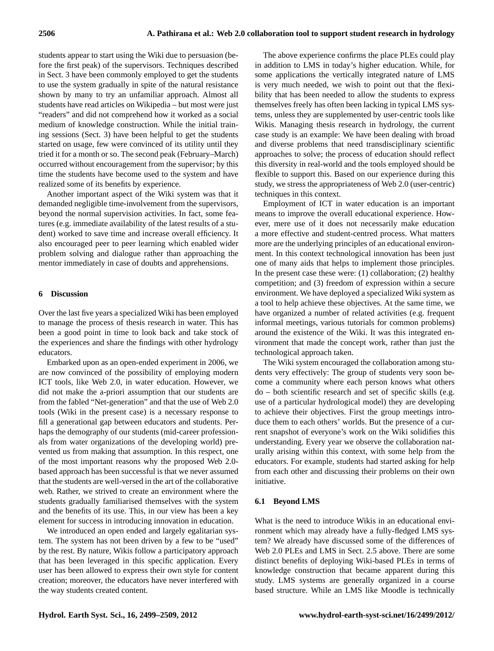students appear to start using the Wiki due to persuasion (before the first peak) of the supervisors. Techniques described in Sect. 3 have been commonly employed to get the students to use the system gradually in spite of the natural resistance shown by many to try an unfamiliar approach. Almost all students have read articles on Wikipedia – but most were just "readers" and did not comprehend how it worked as a social medium of knowledge construction. While the initial training sessions (Sect. 3) have been helpful to get the students started on usage, few were convinced of its utility until they tried it for a month or so. The second peak (February–March) occurred without encouragement from the supervisor; by this time the students have become used to the system and have realized some of its benefits by experience.

Another important aspect of the Wiki system was that it demanded negligible time-involvement from the supervisors, beyond the normal supervision activities. In fact, some features (e.g. immediate availability of the latest results of a student) worked to save time and increase overall efficiency. It also encouraged peer to peer learning which enabled wider problem solving and dialogue rather than approaching the mentor immediately in case of doubts and apprehensions.

#### **6 Discussion**

Over the last five years a specialized Wiki has been employed to manage the process of thesis research in water. This has been a good point in time to look back and take stock of the experiences and share the findings with other hydrology educators.

Embarked upon as an open-ended experiment in 2006, we are now convinced of the possibility of employing modern ICT tools, like Web 2.0, in water education. However, we did not make the a-priori assumption that our students are from the fabled "Net-generation" and that the use of Web 2.0 tools (Wiki in the present case) is a necessary response to fill a generational gap between educators and students. Perhaps the demography of our students (mid-career professionals from water organizations of the developing world) prevented us from making that assumption. In this respect, one of the most important reasons why the proposed Web 2.0 based approach has been successful is that we never assumed that the students are well-versed in the art of the collaborative web. Rather, we strived to create an environment where the students gradually familiarised themselves with the system and the benefits of its use. This, in our view has been a key element for success in introducing innovation in education.

We introduced an open ended and largely egalitarian system. The system has not been driven by a few to be "used" by the rest. By nature, Wikis follow a participatory approach that has been leveraged in this specific application. Every user has been allowed to express their own style for content creation; moreover, the educators have never interfered with the way students created content.

The above experience confirms the place PLEs could play in addition to LMS in today's higher education. While, for some applications the vertically integrated nature of LMS is very much needed, we wish to point out that the flexibility that has been needed to allow the students to express themselves freely has often been lacking in typical LMS systems, unless they are supplemented by user-centric tools like Wikis. Managing thesis research in hydrology, the current case study is an example: We have been dealing with broad and diverse problems that need transdisciplinary scientific approaches to solve; the process of education should reflect this diversity in real-world and the tools employed should be flexible to support this. Based on our experience during this study, we stress the appropriateness of Web 2.0 (user-centric) techniques in this context.

Employment of ICT in water education is an important means to improve the overall educational experience. However, mere use of it does not necessarily make education a more effective and student-centred process. What matters more are the underlying principles of an educational environment. In this context technological innovation has been just one of many aids that helps to implement those principles. In the present case these were: (1) collaboration; (2) healthy competition; and (3) freedom of expression within a secure environment. We have deployed a specialized Wiki system as a tool to help achieve these objectives. At the same time, we have organized a number of related activities (e.g. frequent informal meetings, various tutorials for common problems) around the existence of the Wiki. It was this integrated environment that made the concept work, rather than just the technological approach taken.

The Wiki system encouraged the collaboration among students very effectively: The group of students very soon become a community where each person knows what others do – both scientific research and set of specific skills (e.g. use of a particular hydrological model) they are developing to achieve their objectives. First the group meetings introduce them to each others' worlds. But the presence of a current snapshot of everyone's work on the Wiki solidifies this understanding. Every year we observe the collaboration naturally arising within this context, with some help from the educators. For example, students had started asking for help from each other and discussing their problems on their own initiative.

#### **6.1 Beyond LMS**

What is the need to introduce Wikis in an educational environment which may already have a fully-fledged LMS system? We already have discussed some of the differences of Web 2.0 PLEs and LMS in Sect. 2.5 above. There are some distinct benefits of deploying Wiki-based PLEs in terms of knowledge construction that became apparent during this study. LMS systems are generally organized in a course based structure. While an LMS like Moodle is technically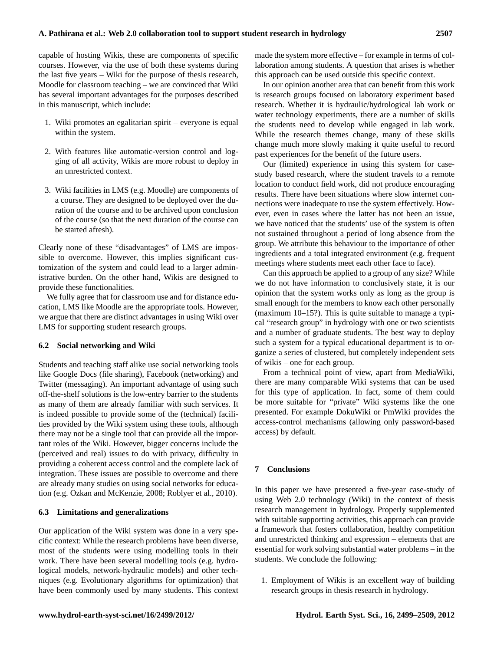capable of hosting Wikis, these are components of specific courses. However, via the use of both these systems during the last five years – Wiki for the purpose of thesis research, Moodle for classroom teaching – we are convinced that Wiki has several important advantages for the purposes described in this manuscript, which include:

- 1. Wiki promotes an egalitarian spirit everyone is equal within the system.
- 2. With features like automatic-version control and logging of all activity, Wikis are more robust to deploy in an unrestricted context.
- 3. Wiki facilities in LMS (e.g. Moodle) are components of a course. They are designed to be deployed over the duration of the course and to be archived upon conclusion of the course (so that the next duration of the course can be started afresh).

Clearly none of these "disadvantages" of LMS are impossible to overcome. However, this implies significant customization of the system and could lead to a larger administrative burden. On the other hand, Wikis are designed to provide these functionalities.

We fully agree that for classroom use and for distance education, LMS like Moodle are the appropriate tools. However, we argue that there are distinct advantages in using Wiki over LMS for supporting student research groups.

## **6.2 Social networking and Wiki**

Students and teaching staff alike use social networking tools like Google Docs (file sharing), Facebook (networking) and Twitter (messaging). An important advantage of using such off-the-shelf solutions is the low-entry barrier to the students as many of them are already familiar with such services. It is indeed possible to provide some of the (technical) facilities provided by the Wiki system using these tools, although there may not be a single tool that can provide all the important roles of the Wiki. However, bigger concerns include the (perceived and real) issues to do with privacy, difficulty in providing a coherent access control and the complete lack of integration. These issues are possible to overcome and there are already many studies on using social networks for education (e.g. Ozkan and McKenzie, 2008; Roblyer et al., 2010).

## **6.3 Limitations and generalizations**

Our application of the Wiki system was done in a very specific context: While the research problems have been diverse, most of the students were using modelling tools in their work. There have been several modelling tools (e.g. hydrological models, network-hydraulic models) and other techniques (e.g. Evolutionary algorithms for optimization) that have been commonly used by many students. This context made the system more effective – for example in terms of collaboration among students. A question that arises is whether this approach can be used outside this specific context.

In our opinion another area that can benefit from this work is research groups focused on laboratory experiment based research. Whether it is hydraulic/hydrological lab work or water technology experiments, there are a number of skills the students need to develop while engaged in lab work. While the research themes change, many of these skills change much more slowly making it quite useful to record past experiences for the benefit of the future users.

Our (limited) experience in using this system for casestudy based research, where the student travels to a remote location to conduct field work, did not produce encouraging results. There have been situations where slow internet connections were inadequate to use the system effectively. However, even in cases where the latter has not been an issue, we have noticed that the students' use of the system is often not sustained throughout a period of long absence from the group. We attribute this behaviour to the importance of other ingredients and a total integrated environment (e.g. frequent meetings where students meet each other face to face).

Can this approach be applied to a group of any size? While we do not have information to conclusively state, it is our opinion that the system works only as long as the group is small enough for the members to know each other personally (maximum 10–15?). This is quite suitable to manage a typical "research group" in hydrology with one or two scientists and a number of graduate students. The best way to deploy such a system for a typical educational department is to organize a series of clustered, but completely independent sets of wikis – one for each group.

From a technical point of view, apart from MediaWiki, there are many comparable Wiki systems that can be used for this type of application. In fact, some of them could be more suitable for "private" Wiki systems like the one presented. For example DokuWiki or PmWiki provides the access-control mechanisms (allowing only password-based access) by default.

# **7 Conclusions**

In this paper we have presented a five-year case-study of using Web 2.0 technology (Wiki) in the context of thesis research management in hydrology. Properly supplemented with suitable supporting activities, this approach can provide a framework that fosters collaboration, healthy competition and unrestricted thinking and expression – elements that are essential for work solving substantial water problems – in the students. We conclude the following:

1. Employment of Wikis is an excellent way of building research groups in thesis research in hydrology.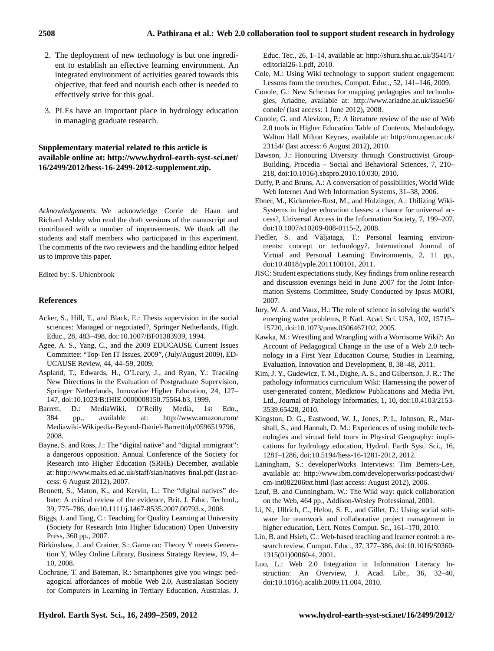- 2. The deployment of new technology is but one ingredient to establish an effective learning environment. An integrated environment of activities geared towards this objective, that feed and nourish each other is needed to effectively strive for this goal.
- 3. PLEs have an important place in hydrology education in managing graduate research.

# **Supplementary material related to this article is available online at: [http://www.hydrol-earth-syst-sci.net/](http://www.hydrol-earth-syst-sci.net/16/2499/2012/hess-16-2499-2012-supplement.zip) [16/2499/2012/hess-16-2499-2012-supplement.zip.](http://www.hydrol-earth-syst-sci.net/16/2499/2012/hess-16-2499-2012-supplement.zip)**

*Acknowledgements.* We acknowledge Corrie de Haan and Richard Ashley who read the draft versions of the manuscript and contributed with a number of improvements. We thank all the students and staff members who participated in this experiment. The comments of the two reviewers and the handling editor helped us to improve this paper.

Edited by: S. Uhlenbrook

## **References**

- Acker, S., Hill, T., and Black, E.: Thesis supervision in the social sciences: Managed or negotiated?, Springer Netherlands, High. Educ., 28, 483–498, [doi:10.1007/BF01383939,](http://dx.doi.org/10.1007/BF01383939) 1994.
- Agee, A. S., Yang, C., and the 2009 EDUCAUSE Current Issues Committee: "Top-Ten IT Issues, 2009", (July/August 2009), ED-UCAUSE Review, 44, 44–59, 2009.
- Aspland, T., Edwards, H., O'Leary, J., and Ryan, Y.: Tracking New Directions in the Evaluation of Postgraduate Supervision, Springer Netherlands, Innovative Higher Education, 24, 127– 147, [doi:10.1023/B:IHIE.0000008150.75564.b3,](http://dx.doi.org/10.1023/B:IHIE.0000008150.75564.b3) 1999.
- Barrett, D.: MediaWiki, O'Reilly Media, 1st Edn., 384 pp., available at: [http://www.amazon.com/](http://www.amazon.com/Mediawiki-Wikipedia-Beyond-Daniel-Barrett/dp/0596519796) [Mediawiki-Wikipedia-Beyond-Daniel-Barrett/dp/0596519796,](http://www.amazon.com/Mediawiki-Wikipedia-Beyond-Daniel-Barrett/dp/0596519796) 2008.
- Bayne, S. and Ross, J.: The "digital native" and "digital immigrant": a dangerous opposition. Annual Conference of the Society for Research into Higher Education (SRHE) December, available at: [http://www.malts.ed.ac.uk/staff/sian/natives](http://www.malts.ed.ac.uk/staff/sian/natives_final.pdf) final.pdf (last access: 6 August 2012), 2007.
- Bennett, S., Maton, K., and Kervin, L.: The "digital natives" debate: A critical review of the evidence, Brit. J. Educ. Technol., 39, 775–786, [doi:10.1111/j.1467-8535.2007.00793.x,](http://dx.doi.org/10.1111/j.1467-8535.2007.00793.x) 2008.
- Biggs, J. and Tang, C.: Teaching for Quality Learning at University (Society for Research Into Higher Education) Open University Press, 360 pp., 2007.
- Birkinshaw, J. and Crainer, S.: Game on: Theory Y meets Generation Y, Wiley Online Library, Business Strategy Review, 19, 4– 10, 2008.
- Cochrane, T. and Bateman, R.: Smartphones give you wings: pedagogical affordances of mobile Web 2.0, Australasian Society for Computers in Learning in Tertiary Education, Australas. J.

Educ. Tec., 26, 1–14, available at: [http://shura.shu.ac.uk/3541/1/](http://shura.shu.ac.uk/3541/1/editorial26-1.pdf) [editorial26-1.pdf,](http://shura.shu.ac.uk/3541/1/editorial26-1.pdf) 2010.

- Cole, M.: Using Wiki technology to support student engagement: Lessons from the trenches, Comput. Educ., 52, 141–146, 2009.
- Conole, G.: New Schemas for mapping pedagogies and technologies, Ariadne, available at: [http://www.ariadne.ac.uk/issue56/](http://www.ariadne.ac.uk/issue56/conole/) [conole/](http://www.ariadne.ac.uk/issue56/conole/) (last access: 1 June 2012), 2008.
- Conole, G. and Alevizou, P.: A literature review of the use of Web 2.0 tools in Higher Education Table of Contents, Methodology, Walton Hall Milton Keynes, available at: [http://oro.open.ac.uk/](http://oro.open.ac.uk/23154/) [23154/](http://oro.open.ac.uk/23154/) (last access: 6 August 2012), 2010.
- Dawson, J.: Honouring Diversity through Constructivist Group-Building, Procedia – Social and Behavioral Sciences, 7, 210– 218, [doi:10.1016/j.sbspro.2010.10.030,](http://dx.doi.org/10.1016/j.sbspro.2010.10.030) 2010.
- Duffy, P. and Bruns, A.: A conversation of possibilities, World Wide Web Internet And Web Information Systems, 31–38, 2006.
- Ebner, M., Kickmeier-Rust, M., and Holzinger, A.: Utilizing Wiki-Systems in higher education classes: a chance for universal access?, Universal Access in the Information Society, 7, 199–207, [doi:10.1007/s10209-008-0115-2,](http://dx.doi.org/10.1007/s10209-008-0115-2) 2008.
- Fiedler, S. and Väljataga, T.: Personal learning environments: concept or technology?, International Journal of Virtual and Personal Learning Environments, 2, 11 pp., [doi:10.4018/jvple.2011100101,](http://dx.doi.org/10.4018/jvple.2011100101) 2011.
- JISC: Student expectations study, Key findings from online research and discussion evenings held in June 2007 for the Joint Information Systems Committee, Study Conducted by Ipsus MORI, 2007.
- Jury, W. A. and Vaux, H.: The role of science in solving the world's emerging water problems, P. Natl. Acad. Sci. USA, 102, 15715– 15720, [doi:10.1073/pnas.0506467102,](http://dx.doi.org/10.1073/pnas.0506467102) 2005.
- Kawka, M.: Wrestling and Wrangling with a Worrisome Wiki?: An Account of Pedagogical Change in the use of a Web 2.0 technology in a First Year Education Course, Studies in Learning, Evaluation, Innovation and Development, 8, 38–48, 2011.
- Kim, J. Y., Gudewicz, T. M., Dighe, A. S., and Gilbertson, J. R.: The pathology informatics curriculum Wiki: Harnessing the power of user-generated content, Medknow Publications and Media Pvt. Ltd., Journal of Pathology Informatics, 1, 10, [doi:10.4103/2153-](http://dx.doi.org/10.4103/2153-3539.65428) [3539.65428,](http://dx.doi.org/10.4103/2153-3539.65428) 2010.
- Kingston, D. G., Eastwood, W. J., Jones, P. I., Johnson, R., Marshall, S., and Hannah, D. M.: Experiences of using mobile technologies and virtual field tours in Physical Geography: implications for hydrology education, Hydrol. Earth Syst. Sci., 16, 1281–1286, [doi:10.5194/hess-16-1281-2012,](http://dx.doi.org/10.5194/hess-16-1281-2012) 2012.
- Laningham, S.: developerWorks Interviews: Tim Berners-Lee, available at: [http://www.ibm.com/developerworks/podcast/dwi/](http://www.ibm.com/developerworks/podcast/dwi/cm-int082206txt.html) [cm-int082206txt.html](http://www.ibm.com/developerworks/podcast/dwi/cm-int082206txt.html) (last access: August 2012), 2006.
- Leuf, B. and Cunningham, W.: The Wiki way: quick collaboration on the Web, 464 pp., Addison-Wesley Professional, 2001.
- Li, N., Ullrich, C., Helou, S. E., and Gillet, D.: Using social software for teamwork and collaborative project management in higher education, Lect. Notes Comput. Sc., 161–170, 2010.
- Lin, B. and Hsieh, C.: Web-based teaching and learner control: a research review, Comput. Educ., 37, 377–386, [doi:10.1016/S0360-](http://dx.doi.org/10.1016/S0360-1315(01)00060-4) [1315\(01\)00060-4,](http://dx.doi.org/10.1016/S0360-1315(01)00060-4) 2001.
- Luo, L.: Web 2.0 Integration in Information Literacy Instruction: An Overview, J. Acad. Libr., 36, 32–40, [doi:10.1016/j.acalib.2009.11.004,](http://dx.doi.org/10.1016/j.acalib.2009.11.004) 2010.